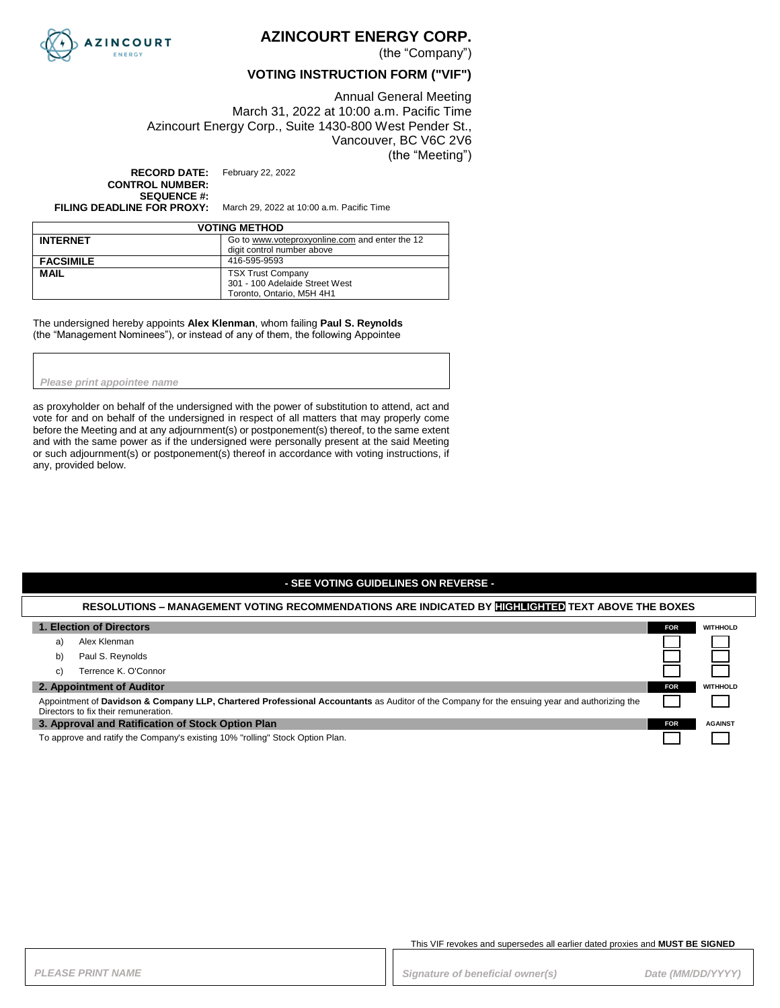

## **AZINCOURT ENERGY CORP.**

(the "Company")

### **VOTING INSTRUCTION FORM ("VIF")**

Annual General Meeting March 31, 2022 at 10:00 a.m. Pacific Time Azincourt Energy Corp., Suite 1430-800 West Pender St., Vancouver, BC V6C 2V6 (the "Meeting")

**RECORD DATE:** February 22, 2022 **CONTROL NUMBER: SEQUENCE #:**

**FILING DEADLINE FOR PROXY:** March 29, 2022 at 10:00 a.m. Pacific Time

| <b>VOTING METHOD</b> |                                                |  |
|----------------------|------------------------------------------------|--|
| <b>INTERNET</b>      | Go to www.voteproxyonline.com and enter the 12 |  |
|                      | digit control number above                     |  |
| <b>FACSIMILE</b>     | 416-595-9593                                   |  |
| <b>MAIL</b>          | <b>TSX Trust Company</b>                       |  |
|                      | 301 - 100 Adelaide Street West                 |  |
|                      | Toronto, Ontario, M5H 4H1                      |  |

The undersigned hereby appoints **Alex Klenman**, whom failing **Paul S. Reynolds**  (the "Management Nominees"), or instead of any of them, the following Appointee

*Please print appointee name*

as proxyholder on behalf of the undersigned with the power of substitution to attend, act and vote for and on behalf of the undersigned in respect of all matters that may properly come before the Meeting and at any adjournment(s) or postponement(s) thereof, to the same extent and with the same power as if the undersigned were personally present at the said Meeting or such adjournment(s) or postponement(s) thereof in accordance with voting instructions, if any, provided below.

#### **- SEE VOTING GUIDELINES ON REVERSE -**

#### **RESOLUTIONS – MANAGEMENT VOTING RECOMMENDATIONS ARE INDICATED BY HIGHLIGHTED TEXT ABOVE THE BOXES**

| 1. Election of Directors                                                                                                                                                             | FOR.       | <b>WITHHOLD</b> |
|--------------------------------------------------------------------------------------------------------------------------------------------------------------------------------------|------------|-----------------|
| Alex Klenman<br>a)                                                                                                                                                                   |            |                 |
| Paul S. Reynolds<br>b)                                                                                                                                                               |            |                 |
| Terrence K. O'Connor<br>C)                                                                                                                                                           |            |                 |
| 2. Appointment of Auditor                                                                                                                                                            | <b>FOR</b> | <b>WITHHOLD</b> |
| Appointment of Davidson & Company LLP, Chartered Professional Accountants as Auditor of the Company for the ensuing year and authorizing the<br>Directors to fix their remuneration. |            |                 |
| 3. Approval and Ratification of Stock Option Plan                                                                                                                                    | FOR:       | <b>AGAINST</b>  |
| To approve and ratify the Company's existing 10% "rolling" Stock Option Plan.                                                                                                        |            |                 |

This VIF revokes and supersedes all earlier dated proxies and **MUST BE SIGNED**